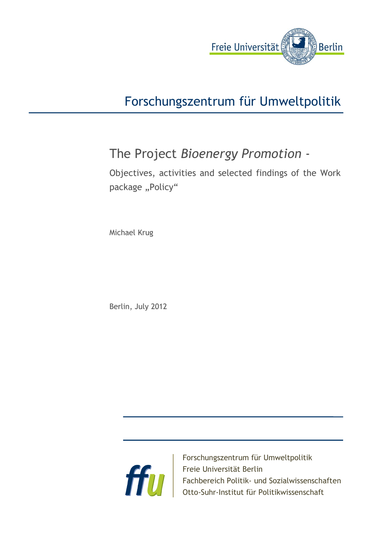

# Forschungszentrum für Umweltpolitik

# The Project *Bioenergy Promotion* -

Objectives, activities and selected findings of the Work package "Policy"

Michael Krug

Berlin, July 2012



Forschungszentrum für Umweltpolitik Freie Universität Berlin Fachbereich Politik- und Sozialwissenschaften Otto-Suhr-Institut für Politikwissenschaft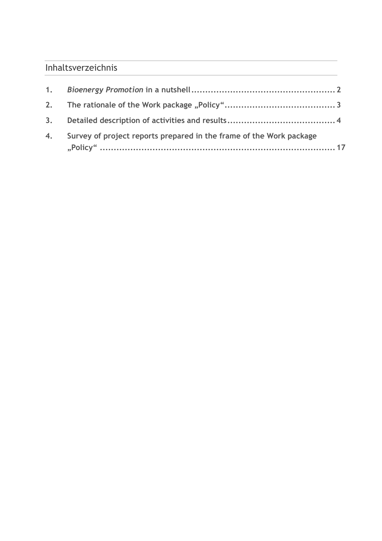## Inhaltsverzeichnis

| 4. Survey of project reports prepared in the frame of the Work package |
|------------------------------------------------------------------------|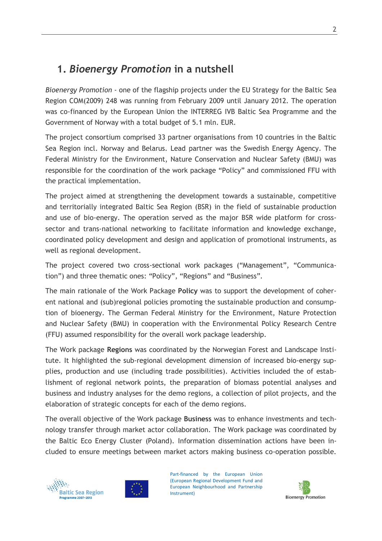# **1.** *Bioenergy Promotion* **in a nutshell**

*Bioenergy Promotion* - one of the flagship projects under the EU Strategy for the Baltic Sea Region COM(2009) 248 was running from February 2009 until January 2012. The operation was co-financed by the European Union the INTERREG IVB Baltic Sea Programme and the Government of Norway with a total budget of 5.1 mln. EUR.

The project consortium comprised 33 partner organisations from 10 countries in the Baltic Sea Region incl. Norway and Belarus. Lead partner was the Swedish Energy Agency. The Federal Ministry for the Environment, Nature Conservation and Nuclear Safety (BMU) was responsible for the coordination of the work package "Policy" and commissioned FFU with the practical implementation.

The project aimed at strengthening the development towards a sustainable, competitive and territorially integrated Baltic Sea Region (BSR) in the field of sustainable production and use of bio-energy. The operation served as the major BSR wide platform for crosssector and trans-national networking to facilitate information and knowledge exchange, coordinated policy development and design and application of promotional instruments, as well as regional development.

The project covered two cross-sectional work packages ("Management", "Communication") and three thematic ones: "Policy", "Regions" and "Business".

The main rationale of the Work Package **Policy** was to support the development of coherent national and (sub)regional policies promoting the sustainable production and consumption of bioenergy. The German Federal Ministry for the Environment, Nature Protection and Nuclear Safety (BMU) in cooperation with the Environmental Policy Research Centre (FFU) assumed responsibility for the overall work package leadership.

The Work package **Regions** was coordinated by the Norwegian Forest and Landscape Institute. It highlighted the sub-regional development dimension of increased bio-energy supplies, production and use (including trade possibilities). Activities included the of establishment of regional network points, the preparation of biomass potential analyses and business and industry analyses for the demo regions, a collection of pilot projects, and the elaboration of strategic concepts for each of the demo regions.

The overall objective of the Work package **Business** was to enhance investments and technology transfer through market actor collaboration. The Work package was coordinated by the Baltic Eco Energy Cluster (Poland). Information dissemination actions have been included to ensure meetings between market actors making business co-operation possible.





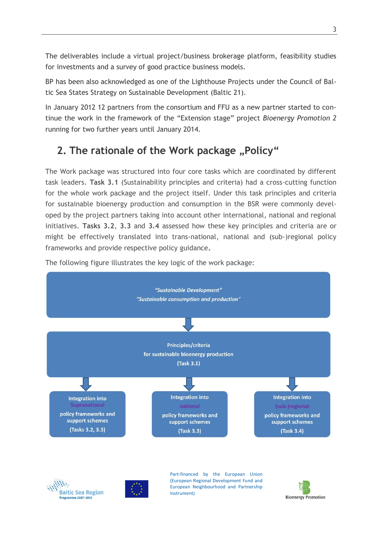The deliverables include a virtual project/business brokerage platform, feasibility studies for investments and a survey of good practice business models.

BP has been also acknowledged as one of the Lighthouse Projects under the Council of Baltic Sea States Strategy on Sustainable Development (Baltic 21).

In January 2012 12 partners from the consortium and FFU as a new partner started to continue the work in the framework of the "Extension stage" project *Bioenergy Promotion 2* running for two further years until January 2014.

# **2.** The rationale of the Work package "Policy"

The Work package was structured into four core tasks which are coordinated by different task leaders. **Task 3.1** (Sustainability principles and criteria) had a cross-cutting function for the whole work package and the project itself. Under this task principles and criteria for sustainable bioenergy production and consumption in the BSR were commonly developed by the project partners taking into account other international, national and regional initiatives. **Tasks 3.2**, **3.3** and **3.4** assessed how these key principles and criteria are or might be effectively translated into trans-national, national and (sub-)regional policy frameworks and provide respective policy guidance**.**



The following figure illustrates the key logic of the work package:





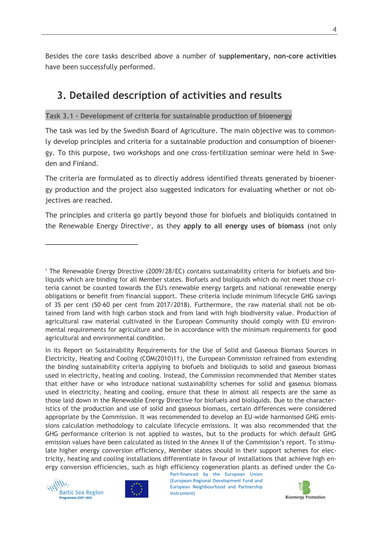Besides the core tasks described above a number of **supplementary, non-core activities** have been successfully performed.

## **3. Detailed description of activities and results**

#### **Task 3.1 - Development of criteria for sustainable production of bioenergy**

The task was led by the Swedish Board of Agriculture. The main objective was to commonly develop principles and criteria for a sustainable production and consumption of bioenergy. To this purpose, two workshops and one cross-fertilization seminar were held in Sweden and Finland.

The criteria are formulated as to directly address identified threats generated by bioenergy production and the project also suggested indicators for evaluating whether or not objectives are reached.

The principles and criteria go partly beyond those for biofuels and bioliquids contained in the Renewable Energy Directive<sup>1</sup>, as they apply to all energy uses of biomass (not only

In its Report on Sustainability Requirements for the Use of Solid and Gaseous Biomass Sources in Electricity, Heating and Cooling (COM(2010)11), the European Commission refrained from extending the binding sustainability criteria applying to biofuels and bioliquids to solid and gaseous biomass used in electricity, heating and cooling. Instead, the Commission recommended that Member states that either have or who introduce national sustainability schemes for solid and gaseous biomass used in electricity, heating and cooling, ensure that these in almost all respects are the same as those laid down in the Renewable Energy Directive for biofuels and bioliquids. Due to the characteristics of the production and use of solid and gaseous biomass, certain differences were considered appropriate by the Commission. It was recommended to develop an EU-wide harmonised GHG emissions calculation methodology to calculate lifecycle emissions. It was also recommended that the GHG performance criterion is not applied to wastes, but to the products for which default GHG emission values have been calculated as listed in the Annex II of the Commission's report. To stimulate higher energy conversion efficiency, Member states should in their support schemes for electricity, heating and cooling installations differentiate in favour of installations that achieve high energy conversion efficiencies, such as high efficiency cogeneration plants as defined under the Co-



 $\overline{a}$ 





<sup>1</sup> The Renewable Energy Directive (2009/28/EC) contains sustainability criteria for biofuels and bioliquids which are binding for all Member states. Biofuels and bioliquids which do not meet those criteria cannot be counted towards the EU's renewable energy targets and national renewable energy obligations or benefit from financial support. These criteria include minimum lifecycle GHG savings of 35 per cent (50-60 per cent from 2017/2018). Furthermore, the raw material shall not be obtained from land with high carbon stock and from land with high biodiversity value. Production of agricultural raw material cultivated in the European Community should comply with EU environmental requirements for agriculture and be in accordance with the minimum requirements for good agricultural and environmental condition.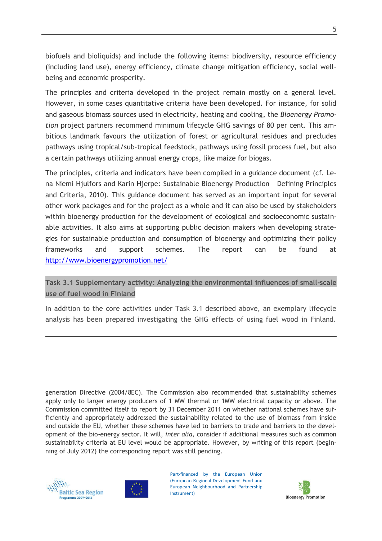biofuels and bioliquids) and include the following items: biodiversity, resource efficiency (including land use), energy efficiency, climate change mitigation efficiency, social wellbeing and economic prosperity.

The principles and criteria developed in the project remain mostly on a general level. However, in some cases quantitative criteria have been developed. For instance, for solid and gaseous biomass sources used in electricity, heating and cooling, the *Bioenergy Promotion* project partners recommend minimum lifecycle GHG savings of 80 per cent. This ambitious landmark favours the utilization of forest or agricultural residues and precludes pathways using tropical/sub-tropical feedstock, pathways using fossil process fuel, but also a certain pathways utilizing annual energy crops, like maize for biogas.

The principles, criteria and indicators have been compiled in a guidance document (cf. Lena Niemi Hjulfors and Karin Hjerpe: Sustainable Bioenergy Production – Defining Principles and Criteria, 2010). This guidance document has served as an important input for several other work packages and for the project as a whole and it can also be used by stakeholders within bioenergy production for the development of ecological and socioeconomic sustainable activities. It also aims at supporting public decision makers when developing strategies for sustainable production and consumption of bioenergy and optimizing their policy frameworks and support schemes. The report can be found at <http://www.bioenergypromotion.net/>

### **Task 3.1 Supplementary activity: Analyzing the environmental influences of small-scale use of fuel wood in Finland**

In addition to the core activities under Task 3.1 described above, an exemplary lifecycle analysis has been prepared investigating the GHG effects of using fuel wood in Finland.

generation Directive (2004/8EC). The Commission also recommended that sustainability schemes apply only to larger energy producers of 1 MW thermal or 1MW electrical capacity or above. The Commission committed itself to report by 31 December 2011 on whether national schemes have sufficiently and appropriately addressed the sustainability related to the use of biomass from inside and outside the EU, whether these schemes have led to barriers to trade and barriers to the development of the bio-energy sector. It will, *inter alia*, consider if additional measures such as common sustainability criteria at EU level would be appropriate. However, by writing of this report (beginning of July 2012) the corresponding report was still pending.



 $\overline{a}$ 



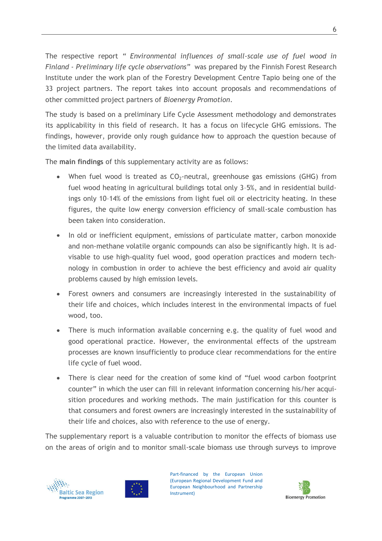The respective report *" Environmental influences of small-scale use of fuel wood in Finland - Preliminary life cycle observations"* was prepared by the Finnish Forest Research Institute under the work plan of the Forestry Development Centre Tapio being one of the 33 project partners. The report takes into account proposals and recommendations of other committed project partners of *Bioenergy Promotion*.

The study is based on a preliminary Life Cycle Assessment methodology and demonstrates its applicability in this field of research. It has a focus on lifecycle GHG emissions. The findings, however, provide only rough guidance how to approach the question because of the limited data availability.

The **main findings** of this supplementary activity are as follows:

- When fuel wood is treated as  $CO<sub>2</sub>$ -neutral, greenhouse gas emissions (GHG) from fuel wood heating in agricultural buildings total only 3–5%, and in residential buildings only 10–14% of the emissions from light fuel oil or electricity heating. In these figures, the quite low energy conversion efficiency of small-scale combustion has been taken into consideration.
- In old or inefficient equipment, emissions of particulate matter, carbon monoxide and non-methane volatile organic compounds can also be significantly high. It is advisable to use high-quality fuel wood, good operation practices and modern technology in combustion in order to achieve the best efficiency and avoid air quality problems caused by high emission levels.
- Forest owners and consumers are increasingly interested in the sustainability of their life and choices, which includes interest in the environmental impacts of fuel wood, too.
- There is much information available concerning e.g. the quality of fuel wood and good operational practice. However, the environmental effects of the upstream processes are known insufficiently to produce clear recommendations for the entire life cycle of fuel wood.
- There is clear need for the creation of some kind of "fuel wood carbon footprint counter" in which the user can fill in relevant information concerning his/her acquisition procedures and working methods. The main justification for this counter is that consumers and forest owners are increasingly interested in the sustainability of their life and choices, also with reference to the use of energy.

The supplementary report is a valuable contribution to monitor the effects of biomass use on the areas of origin and to monitor small-scale biomass use through surveys to improve





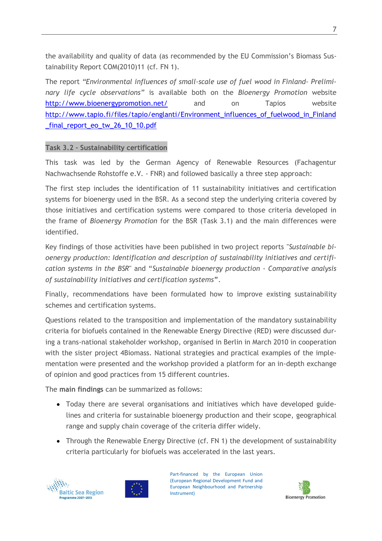the availability and quality of data (as recommended by the EU Commission's Biomass Sustainability Report COM(2010)11 (cf. FN 1).

The report *"Environmental influences of small-scale use of fuel wood in Finland- Preliminary life cycle observations"* is available both on the *Bioenergy Promotion* website <http://www.bioenergypromotion.net/> and on Tapios website [http://www.tapio.fi/files/tapio/englanti/Environment\\_influences\\_of\\_fuelwood\\_in\\_Finland](http://www.tapio.fi/files/tapio/englanti/Environment_influences_of_fuelwood_in_Finland_final_report_eo_tw_26_10_10.pdf) [\\_final\\_report\\_eo\\_tw\\_26\\_10\\_10.pdf](http://www.tapio.fi/files/tapio/englanti/Environment_influences_of_fuelwood_in_Finland_final_report_eo_tw_26_10_10.pdf)

#### **Task 3.2 – Sustainability certification**

This task was led by the German Agency of Renewable Resources (Fachagentur Nachwachsende Rohstoffe e.V. - FNR) and followed basically a three step approach:

The first step includes the identification of 11 sustainability initiatives and certification systems for bioenergy used in the BSR. As a second step the underlying criteria covered by those initiatives and certification systems were compared to those criteria developed in the frame of *Bioenergy Promotion* for the BSR (Task 3.1) and the main differences were identified.

Key findings of those activities have been published in two project reports "*Sustainable bioenergy production: Identification and description of sustainability initiatives and certification systems in the BSR*" and "*Sustainable bioenergy production - Comparative analysis of sustainability initiatives and certification systems***"**.

Finally, recommendations have been formulated how to improve existing sustainability schemes and certification systems.

Questions related to the transposition and implementation of the mandatory sustainability criteria for biofuels contained in the Renewable Energy Directive (RED) were discussed during a trans-national stakeholder workshop, organised in Berlin in March 2010 in cooperation with the sister project 4Biomass. National strategies and practical examples of the implementation were presented and the workshop provided a platform for an in-depth exchange of opinion and good practices from 15 different countries.

The **main findings** can be summarized as follows:

- Today there are several organisations and initiatives which have developed guidelines and criteria for sustainable bioenergy production and their scope, geographical range and supply chain coverage of the criteria differ widely.
- Through the Renewable Energy Directive (cf. FN 1) the development of sustainability criteria particularly for biofuels was accelerated in the last years.





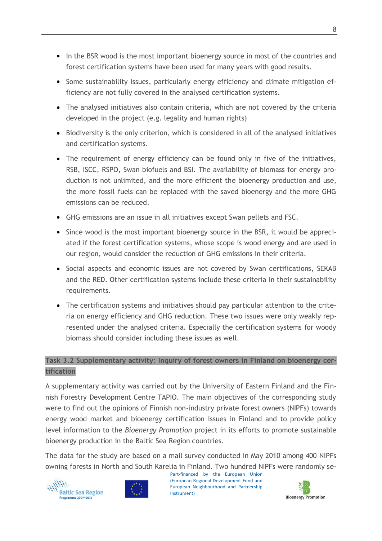- In the BSR wood is the most important bioenergy source in most of the countries and forest certification systems have been used for many years with good results.
- Some sustainability issues, particularly energy efficiency and climate mitigation efficiency are not fully covered in the analysed certification systems.
- The analysed initiatives also contain criteria, which are not covered by the criteria developed in the project (e.g. legality and human rights)
- Biodiversity is the only criterion, which is considered in all of the analysed initiatives and certification systems.
- The requirement of energy efficiency can be found only in five of the initiatives, RSB, ISCC, RSPO, Swan biofuels and BSI. The availability of biomass for energy production is not unlimited, and the more efficient the bioenergy production and use, the more fossil fuels can be replaced with the saved bioenergy and the more GHG emissions can be reduced.
- GHG emissions are an issue in all initiatives except Swan pellets and FSC.
- Since wood is the most important bioenergy source in the BSR, it would be appreciated if the forest certification systems, whose scope is wood energy and are used in our region, would consider the reduction of GHG emissions in their criteria.
- Social aspects and economic issues are not covered by Swan certifications, SEKAB and the RED. Other certification systems include these criteria in their sustainability requirements.
- The certification systems and initiatives should pay particular attention to the criteria on energy efficiency and GHG reduction. These two issues were only weakly represented under the analysed criteria. Especially the certification systems for woody biomass should consider including these issues as well.

### **Task 3.2 Supplementary activity: Inquiry of forest owners in Finland on bioenergy certification**

A supplementary activity was carried out by the University of Eastern Finland and the Finnish Forestry Development Centre TAPIO. The main objectives of the corresponding study were to find out the opinions of Finnish non-industry private forest owners (NIPFs) towards energy wood market and bioenergy certification issues in Finland and to provide policy level information to the *Bioenergy Promotion* project in its efforts to promote sustainable bioenergy production in the Baltic Sea Region countries.

The data for the study are based on a mail survey conducted in May 2010 among 400 NIPFs owning forests in North and South Karelia in Finland. Two hundred NIPFs were randomly se-





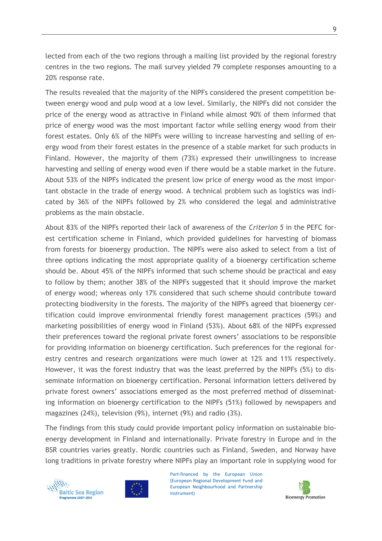lected from each of the two regions through a mailing list provided by the regional forestry centres in the two regions. The mail survey yielded 79 complete responses amounting to a 20% response rate.

The results revealed that the majority of the NIPFs considered the present competition between energy wood and pulp wood at a low level. Similarly, the NIPFs did not consider the price of the energy wood as attractive in Finland while almost 90% of them informed that price of energy wood was the most important factor while selling energy wood from their forest estates. Only 6% of the NIPFs were willing to increase harvesting and selling of energy wood from their forest estates in the presence of a stable market for such products in Finland. However, the majority of them (73%) expressed their unwillingness to increase harvesting and selling of energy wood even if there would be a stable market in the future. About 53% of the NIPFs indicated the present low price of energy wood as the most important obstacle in the trade of energy wood. A technical problem such as logistics was indicated by 36% of the NIPFs followed by 2% who considered the legal and administrative problems as the main obstacle.

About 83% of the NIPFs reported their lack of awareness of the *Criterion 5* in the PEFC forest certification scheme in Finland, which provided guidelines for harvesting of biomass from forests for bioenergy production. The NIPFs were also asked to select from a list of three options indicating the most appropriate quality of a bioenergy certification scheme should be. About 45% of the NIPFs informed that such scheme should be practical and easy to follow by them; another 38% of the NIPFs suggested that it should improve the market of energy wood; whereas only 17% considered that such scheme should contribute toward protecting biodiversity in the forests. The majority of the NIPFs agreed that bioenergy certification could improve environmental friendly forest management practices (59%) and marketing possibilities of energy wood in Finland (53%). About 68% of the NIPFs expressed their preferences toward the regional private forest owners' associations to be responsible for providing information on bioenergy certification. Such preferences for the regional forestry centres and research organizations were much lower at 12% and 11% respectively. However, it was the forest industry that was the least preferred by the NIPFs (5%) to disseminate information on bioenergy certification. Personal information letters delivered by private forest owners' associations emerged as the most preferred method of disseminating information on bioenergy certification to the NIPFs (51%) followed by newspapers and magazines (24%), television (9%), internet (9%) and radio (3%).

The findings from this study could provide important policy information on sustainable bioenergy development in Finland and internationally. Private forestry in Europe and in the BSR countries varies greatly. Nordic countries such as Finland, Sweden, and Norway have long traditions in private forestry where NIPFs play an important role in supplying wood for





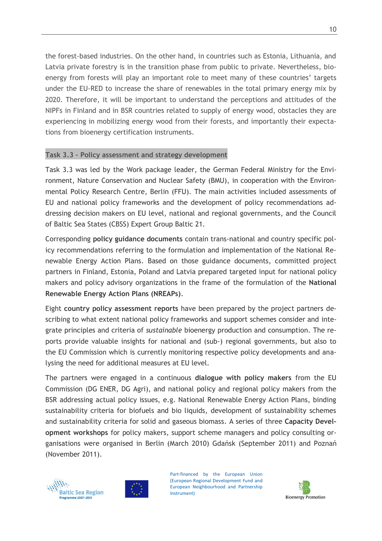the forest-based industries. On the other hand, in countries such as Estonia, Lithuania, and Latvia private forestry is in the transition phase from public to private. Nevertheless, bioenergy from forests will play an important role to meet many of these countries' targets under the EU-RED to increase the share of renewables in the total primary energy mix by 2020. Therefore, it will be important to understand the perceptions and attitudes of the NIPFs in Finland and in BSR countries related to supply of energy wood, obstacles they are experiencing in mobilizing energy wood from their forests, and importantly their expectations from bioenergy certification instruments.

#### **Task 3.3 – Policy assessment and strategy development**

Task 3.3 was led by the Work package leader, the German Federal Ministry for the Environment, Nature Conservation and Nuclear Safety (BMU), in cooperation with the Environmental Policy Research Centre, Berlin (FFU). The main activities included assessments of EU and national policy frameworks and the development of policy recommendations addressing decision makers on EU level, national and regional governments, and the Council of Baltic Sea States (CBSS) Expert Group Baltic 21.

Corresponding **policy guidance documents** contain trans-national and country specific policy recommendations referring to the formulation and implementation of the National Renewable Energy Action Plans. Based on those guidance documents, committed project partners in Finland, Estonia, Poland and Latvia prepared targeted input for national policy makers and policy advisory organizations in the frame of the formulation of the **National Renewable Energy Action Plans (NREAPs)**.

Eight **country policy assessment reports** have been prepared by the project partners describing to what extent national policy frameworks and support schemes consider and integrate principles and criteria of *sustainable* bioenergy production and consumption. The reports provide valuable insights for national and (sub-) regional governments, but also to the EU Commission which is currently monitoring respective policy developments and analysing the need for additional measures at EU level.

The partners were engaged in a continuous **dialogue with policy makers** from the EU Commission (DG ENER, DG Agri), and national policy and regional policy makers from the BSR addressing actual policy issues, e.g. National Renewable Energy Action Plans, binding sustainability criteria for biofuels and bio liquids, development of sustainability schemes and sustainability criteria for solid and gaseous biomass. A series of three **Capacity Development workshops** for policy makers, support scheme managers and policy consulting organisations were organised in Berlin (March 2010) Gdańsk (September 2011) and Poznań (November 2011).





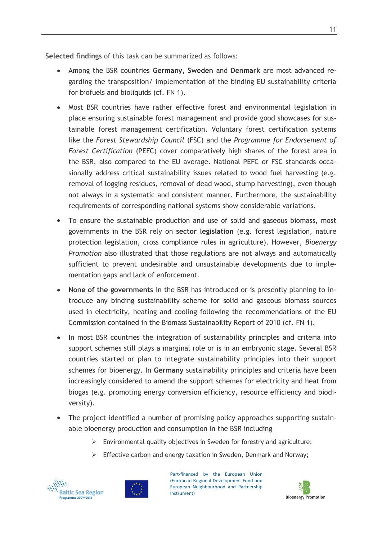**Selected findings** of this task can be summarized as follows:

- Among the BSR countries **Germany, Sweden** and **Denmark** are most advanced re- $\bullet$ garding the transposition/ implementation of the binding EU sustainability criteria for biofuels and bioliquids (cf. FN 1).
- Most BSR countries have rather effective forest and environmental legislation in place ensuring sustainable forest management and provide good showcases for sustainable forest management certification. Voluntary forest certification systems like the *Forest Stewardship Council* (FSC) and the *Programme for Endorsement of Forest Certification* (PEFC) cover comparatively high shares of the forest area in the BSR, also compared to the EU average. National PEFC or FSC standards occasionally address critical sustainability issues related to wood fuel harvesting (e.g. removal of logging residues, removal of dead wood, stump harvesting), even though not always in a systematic and consistent manner. Furthermore, the sustainability requirements of corresponding national systems show considerable variations.
- To ensure the sustainable production and use of solid and gaseous biomass, most governments in the BSR rely on **sector legislation** (e.g. forest legislation, nature protection legislation, cross compliance rules in agriculture). However, *Bioenergy Promotion* also illustrated that those regulations are not always and automatically sufficient to prevent undesirable and unsustainable developments due to implementation gaps and lack of enforcement.
- **None of the governments** in the BSR has introduced or is presently planning to introduce any binding sustainability scheme for solid and gaseous biomass sources used in electricity, heating and cooling following the recommendations of the EU Commission contained in the Biomass Sustainability Report of 2010 (cf. FN 1).
- In most BSR countries the integration of sustainability principles and criteria into support schemes still plays a marginal role or is in an embryonic stage. Several BSR countries started or plan to integrate sustainability principles into their support schemes for bioenergy. In **Germany** sustainability principles and criteria have been increasingly considered to amend the support schemes for electricity and heat from biogas (e.g. promoting energy conversion efficiency, resource efficiency and biodiversity).
- The project identified a number of promising policy approaches supporting sustainable bioenergy production and consumption in the BSR including
	- $\triangleright$  Environmental quality objectives in Sweden for forestry and agriculture;
	- $\triangleright$  Effective carbon and energy taxation in Sweden, Denmark and Norway;





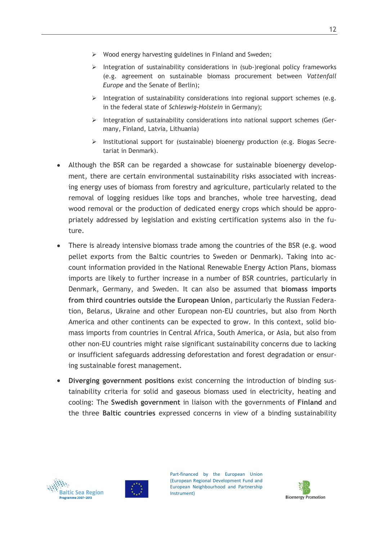- $\triangleright$  Wood energy harvesting guidelines in Finland and Sweden;
- $\triangleright$  Integration of sustainability considerations in (sub-)regional policy frameworks (e.g. agreement on sustainable biomass procurement between *Vattenfall Europe* and the Senate of Berlin);
- Integration of sustainability considerations into regional support schemes (e.g. in the federal state of *Schleswig-Holstein* in Germany);
- $\triangleright$  Integration of sustainability considerations into national support schemes (Germany, Finland, Latvia, Lithuania)
- $\triangleright$  Institutional support for (sustainable) bioenergy production (e.g. Biogas Secretariat in Denmark).
- Although the BSR can be regarded a showcase for sustainable bioenergy development, there are certain environmental sustainability risks associated with increasing energy uses of biomass from forestry and agriculture, particularly related to the removal of logging residues like tops and branches, whole tree harvesting, dead wood removal or the production of dedicated energy crops which should be appropriately addressed by legislation and existing certification systems also in the future.
- There is already intensive biomass trade among the countries of the BSR (e.g. wood pellet exports from the Baltic countries to Sweden or Denmark). Taking into account information provided in the National Renewable Energy Action Plans, biomass imports are likely to further increase in a number of BSR countries, particularly in Denmark, Germany, and Sweden. It can also be assumed that **biomass imports from third countries outside the European Union**, particularly the Russian Federation, Belarus, Ukraine and other European non-EU countries, but also from North America and other continents can be expected to grow. In this context, solid biomass imports from countries in Central Africa, South America, or Asia, but also from other non-EU countries might raise significant sustainability concerns due to lacking or insufficient safeguards addressing deforestation and forest degradation or ensuring sustainable forest management.
- **Diverging government positions** exist concerning the introduction of binding sustainability criteria for solid and gaseous biomass used in electricity, heating and cooling: The **Swedish government** in liaison with the governments of **Finland** and the three **Baltic countries** expressed concerns in view of a binding sustainability





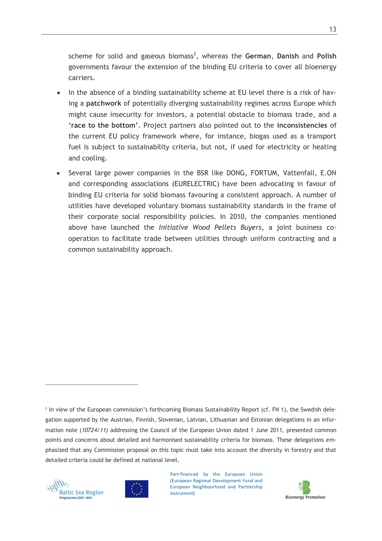scheme for solid and gaseous biomass<sup>2</sup>, whereas the German, Danish and Polish governments favour the extension of the binding EU criteria to cover all bioenergy carriers.

- In the absence of a binding sustainability scheme at EU level there is a risk of hav- $\bullet$ ing a **patchwork** of potentially diverging sustainability regimes across Europe which might cause insecurity for investors, a potential obstacle to biomass trade, and a **'race to the bottom'**. Project partners also pointed out to the **inconsistencies** of the current EU policy framework where, for instance, biogas used as a transport fuel is subject to sustainability criteria, but not, if used for electricity or heating and cooling.
- Several large power companies in the BSR like DONG, FORTUM, Vattenfall, E.ON and corresponding associations (EURELECTRIC) have been advocating in favour of binding EU criteria for solid biomass favouring a consistent approach. A number of utilities have developed voluntary biomass sustainability standards in the frame of their corporate social responsibility policies. In 2010, the companies mentioned above have launched the *Initiative Wood Pellets Buyers*, a joint business cooperation to facilitate trade between utilities through uniform contracting and a common sustainability approach.

<sup>&</sup>lt;sup>2</sup> In view of the European commission's forthcoming Biomass Sustainability Report (cf. FN 1), the Swedish delegation supported by the Austrian, Finnish, Slovenian, Latvian, Lithuanian and Estonian delegations in an information note (*10724/11)* addressing the Council of the European Union dated 1 June 2011, presented common points and concerns about detailed and harmonised sustainability criteria for biomass. These delegations emphasized that any Commission proposal on this topic must take into account the diversity in forestry and that detailed criteria could be defined at national level.



 $\overline{a}$ 



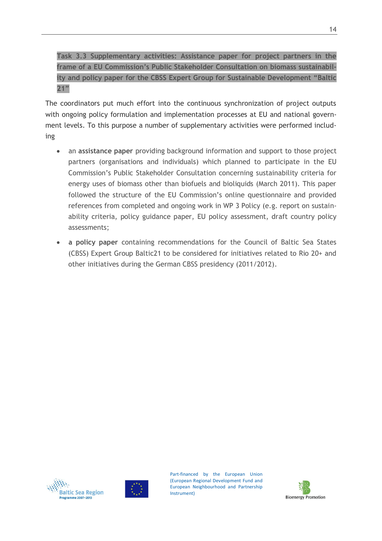**Task 3.3 Supplementary activities: Assistance paper for project partners in the frame of a EU Commission's Public Stakeholder Consultation on biomass sustainability and policy paper for the CBSS Expert Group for Sustainable Development "Baltic 21"**

The coordinators put much effort into the continuous synchronization of project outputs with ongoing policy formulation and implementation processes at EU and national government levels. To this purpose a number of supplementary activities were performed including

- $\bullet$ an **assistance paper** providing background information and support to those project partners (organisations and individuals) which planned to participate in the EU Commission's Public Stakeholder Consultation concerning sustainability criteria for energy uses of biomass other than biofuels and bioliquids (March 2011). This paper followed the structure of the EU Commission's online questionnaire and provided references from completed and ongoing work in WP 3 Policy (e.g. report on sustainability criteria, policy guidance paper, EU policy assessment, draft country policy assessments;
- **a policy paper** containing recommendations for the Council of Baltic Sea States (CBSS) Expert Group Baltic21 to be considered for initiatives related to Rio 20+ and other initiatives during the German CBSS presidency (2011/2012).





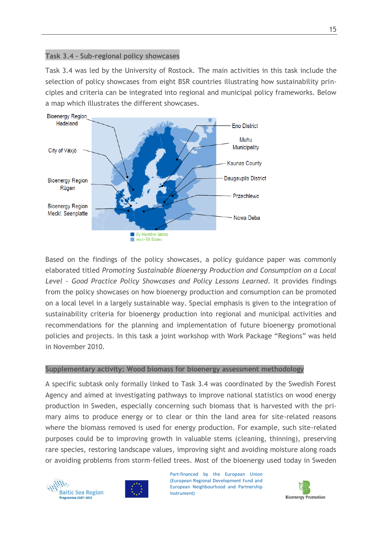#### **Task 3.4 – Sub-regional policy showcases**

Task 3.4 was led by the University of Rostock. The main activities in this task include the selection of policy showcases from eight BSR countries illustrating how sustainability principles and criteria can be integrated into regional and municipal policy frameworks. Below a map which illustrates the different showcases.



Based on the findings of the policy showcases, a policy guidance paper was commonly elaborated titled *Promoting Sustainable Bioenergy Production and Consumption on a Local Level - Good Practice Policy Showcases and Policy Lessons Learned*. It provides findings from the policy showcases on how bioenergy production and consumption can be promoted on a local level in a largely sustainable way. Special emphasis is given to the integration of sustainability criteria for bioenergy production into regional and municipal activities and recommendations for the planning and implementation of future bioenergy promotional policies and projects. In this task a joint workshop with Work Package "Regions" was held in November 2010.

#### **Supplementary activity: Wood biomass for bioenergy assessment methodology**

A specific subtask only formally linked to Task 3.4 was coordinated by the Swedish Forest Agency and aimed at investigating pathways to improve national statistics on wood energy production in Sweden, especially concerning such biomass that is harvested with the primary aims to produce energy or to clear or thin the land area for site-related reasons where the biomass removed is used for energy production. For example, such site-related purposes could be to improving growth in valuable stems (cleaning, thinning), preserving rare species, restoring landscape values, improving sight and avoiding moisture along roads or avoiding problems from storm-felled trees. Most of the bioenergy used today in Sweden





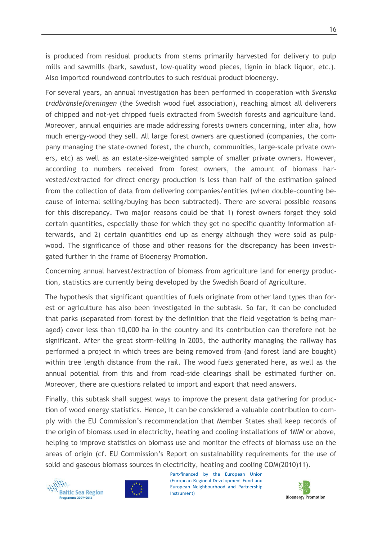is produced from residual products from stems primarily harvested for delivery to pulp mills and sawmills (bark, sawdust, low-quality wood pieces, lignin in black liquor, etc.). Also imported roundwood contributes to such residual product bioenergy.

For several years, an annual investigation has been performed in cooperation with *Svenska trädbränsleföreningen* (the Swedish wood fuel association), reaching almost all deliverers of chipped and not-yet chipped fuels extracted from Swedish forests and agriculture land. Moreover, annual enquiries are made addressing forests owners concerning, inter alia, how much energy-wood they sell. All large forest owners are questioned (companies, the company managing the state-owned forest, the church, communities, large-scale private owners, etc) as well as an estate-size-weighted sample of smaller private owners. However, according to numbers received from forest owners, the amount of biomass harvested/extracted for direct energy production is less than half of the estimation gained from the collection of data from delivering companies/entities (when double-counting because of internal selling/buying has been subtracted). There are several possible reasons for this discrepancy. Two major reasons could be that 1) forest owners forget they sold certain quantities, especially those for which they get no specific quantity information afterwards, and 2) certain quantities end up as energy although they were sold as pulpwood. The significance of those and other reasons for the discrepancy has been investigated further in the frame of Bioenergy Promotion.

Concerning annual harvest/extraction of biomass from agriculture land for energy production, statistics are currently being developed by the Swedish Board of Agriculture.

The hypothesis that significant quantities of fuels originate from other land types than forest or agriculture has also been investigated in the subtask. So far, it can be concluded that parks (separated from forest by the definition that the field vegetation is being managed) cover less than 10,000 ha in the country and its contribution can therefore not be significant. After the great storm-felling in 2005, the authority managing the railway has performed a project in which trees are being removed from (and forest land are bought) within tree length distance from the rail. The wood fuels generated here, as well as the annual potential from this and from road-side clearings shall be estimated further on. Moreover, there are questions related to import and export that need answers.

Finally, this subtask shall suggest ways to improve the present data gathering for production of wood energy statistics. Hence, it can be considered a valuable contribution to comply with the EU Commission's recommendation that Member States shall keep records of the origin of biomass used in electricity, heating and cooling installations of 1MW or above, helping to improve statistics on biomass use and monitor the effects of biomass use on the areas of origin (cf. EU Commission's Report on sustainability requirements for the use of solid and gaseous biomass sources in electricity, heating and cooling COM(2010)11).





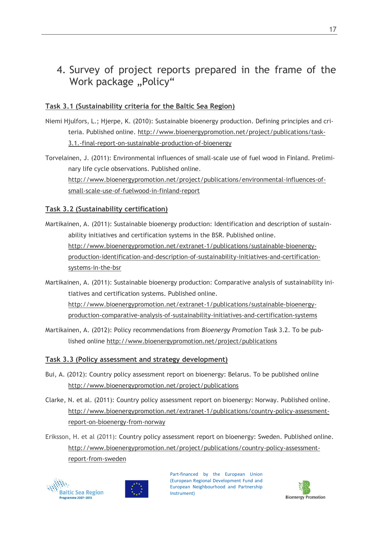# 4. Survey of project reports prepared in the frame of the Work package "Policy"

### **Task 3.1 (Sustainability criteria for the Baltic Sea Region)**

- Niemi Hjulfors, L.; Hjerpe, K. (2010): Sustainable bioenergy production. Defining principles and criteria. Published online. [http://www.bioenergypromotion.net/project/publications/task-](http://www.bioenergypromotion.net/project/publications/task-3.1.-final-report-on-sustainable-production-of-bioenergy)[3.1.-final-report-on-sustainable-production-of-bioenergy](http://www.bioenergypromotion.net/project/publications/task-3.1.-final-report-on-sustainable-production-of-bioenergy)
- Torvelainen, J. (2011): Environmental influences of small-scale use of fuel wood in Finland. Preliminary life cycle observations. Published online. [http://www.bioenergypromotion.net/project/publications/environmental-influences-of](http://www.bioenergypromotion.net/project/publications/environmental-influences-of-small-scale-use-of-fuelwood-in-finland-report)[small-scale-use-of-fuelwood-in-finland-report](http://www.bioenergypromotion.net/project/publications/environmental-influences-of-small-scale-use-of-fuelwood-in-finland-report)

#### **Task 3.2 (Sustainability certification)**

- Martikainen, A. (2011): Sustainable bioenergy production: Identification and description of sustainability initiatives and certification systems in the BSR. Published online. [http://www.bioenergypromotion.net/extranet-1/publications/sustainable-bioenergy](http://www.bioenergypromotion.net/extranet-1/publications/sustainable-bioenergy-production-identification-and-description-of-sustainability-initiatives-and-certification-systems-in-the-bsr)[production-identification-and-description-of-sustainability-initiatives-and-certification](http://www.bioenergypromotion.net/extranet-1/publications/sustainable-bioenergy-production-identification-and-description-of-sustainability-initiatives-and-certification-systems-in-the-bsr)[systems-in-the-bsr](http://www.bioenergypromotion.net/extranet-1/publications/sustainable-bioenergy-production-identification-and-description-of-sustainability-initiatives-and-certification-systems-in-the-bsr)
- Martikainen, A. (2011): Sustainable bioenergy production: Comparative analysis of sustainability initiatives and certification systems. Published online. [http://www.bioenergypromotion.net/extranet-1/publications/sustainable-bioenergy](http://www.bioenergypromotion.net/extranet-1/publications/sustainable-bioenergy-production-comparative-analysis-of-sustainability-initiatives-and-certification-systems)[production-comparative-analysis-of-sustainability-initiatives-and-certification-systems](http://www.bioenergypromotion.net/extranet-1/publications/sustainable-bioenergy-production-comparative-analysis-of-sustainability-initiatives-and-certification-systems)
- Martikainen, A. (2012): Policy recommendations from *Bioenergy Promotion* Task 3.2. To be published online<http://www.bioenergypromotion.net/project/publications>

#### **Task 3.3 (Policy assessment and strategy development)**

- Bui, A. (2012): Country policy assessment report on bioenergy: Belarus. To be published online <http://www.bioenergypromotion.net/project/publications>
- Clarke, N. et al. (2011): Country policy assessment report on bioenergy: Norway. Published online. [http://www.bioenergypromotion.net/extranet-1/publications/country-policy-assessment](http://www.bioenergypromotion.net/extranet-1/publications/country-policy-assessment-report-on-bioenergy-from-norway)[report-on-bioenergy-from-norway](http://www.bioenergypromotion.net/extranet-1/publications/country-policy-assessment-report-on-bioenergy-from-norway)
- Eriksson, H. et al (2011): Country policy assessment report on bioenergy: Sweden. Published online. [http://www.bioenergypromotion.net/project/publications/country-policy-assessment](http://www.bioenergypromotion.net/project/publications/country-policy-assessment-report-from-sweden)[report-from-sweden](http://www.bioenergypromotion.net/project/publications/country-policy-assessment-report-from-sweden)





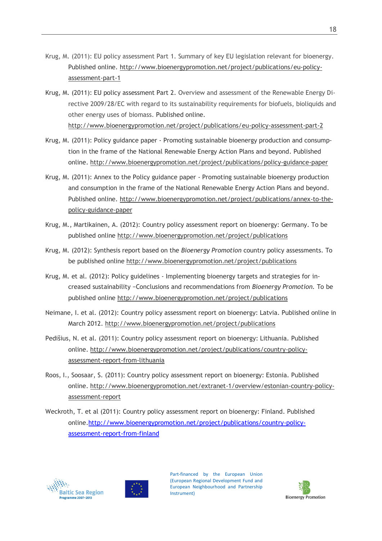- Krug, M. (2011): EU policy assessment Part 1. Summary of key EU legislation relevant for bioenergy. Published online. [http://www.bioenergypromotion.net/project/publications/eu-policy](http://www.bioenergypromotion.net/project/publications/eu-policy-assessment-part-1)[assessment-part-1](http://www.bioenergypromotion.net/project/publications/eu-policy-assessment-part-1)
- Krug, M. (2011): EU policy assessment Part 2. Overview and assessment of the Renewable Energy Directive 2009/28/EC with regard to its sustainability requirements for biofuels, bioliquids and other energy uses of biomass. Published online. <http://www.bioenergypromotion.net/project/publications/eu-policy-assessment-part-2>
- Krug, M. (2011): Policy guidance paper Promoting sustainable bioenergy production and consumption in the frame of the National Renewable Energy Action Plans and beyond. Published online.<http://www.bioenergypromotion.net/project/publications/policy-guidance-paper>
- Krug, M. (2011): Annex to the Policy guidance paper Promoting sustainable bioenergy production and consumption in the frame of the National Renewable Energy Action Plans and beyond. Published online. [http://www.bioenergypromotion.net/project/publications/annex-to-the](http://www.bioenergypromotion.net/project/publications/annex-to-the-policy-guidance-paper)[policy-guidance-paper](http://www.bioenergypromotion.net/project/publications/annex-to-the-policy-guidance-paper)
- Krug, M., Martikainen, A. (2012): Country policy assessment report on bioenergy: Germany. To be published online<http://www.bioenergypromotion.net/project/publications>
- Krug, M. (2012): Synthesis report based on the *Bioenergy Promotion* country policy assessments. To be published online<http://www.bioenergypromotion.net/project/publications>
- Krug, M. et al. (2012): Policy guidelines Implementing bioenergy targets and strategies for increased sustainability −Conclusions and recommendations from *Bioenergy Promotion.* To be published online<http://www.bioenergypromotion.net/project/publications>
- Neimane, I. et al. (2012): Country policy assessment report on bioenergy: Latvia. Published online in March 2012.<http://www.bioenergypromotion.net/project/publications>
- Pedišius, N. et al. (2011): Country policy assessment report on bioenergy: Lithuania. Published online. [http://www.bioenergypromotion.net/project/publications/country-policy](http://www.bioenergypromotion.net/project/publications/country-policy-assessment-report-from-lithuania)[assessment-report-from-lithuania](http://www.bioenergypromotion.net/project/publications/country-policy-assessment-report-from-lithuania)
- Roos, I., Soosaar, S. (2011): Country policy assessment report on bioenergy: Estonia. Published online. [http://www.bioenergypromotion.net/extranet-1/overview/estonian-country-policy](http://www.bioenergypromotion.net/extranet-1/overview/estonian-country-policy-assessment-report)[assessment-report](http://www.bioenergypromotion.net/extranet-1/overview/estonian-country-policy-assessment-report)
- Weckroth, T. et al (2011): Country policy assessment report on bioenergy: Finland. Published online[.http://www.bioenergypromotion.net/project/publications/country-policy](http://www.bioenergypromotion.net/project/publications/country-policy-assessment-report-from-finland)[assessment-report-from-finland](http://www.bioenergypromotion.net/project/publications/country-policy-assessment-report-from-finland)